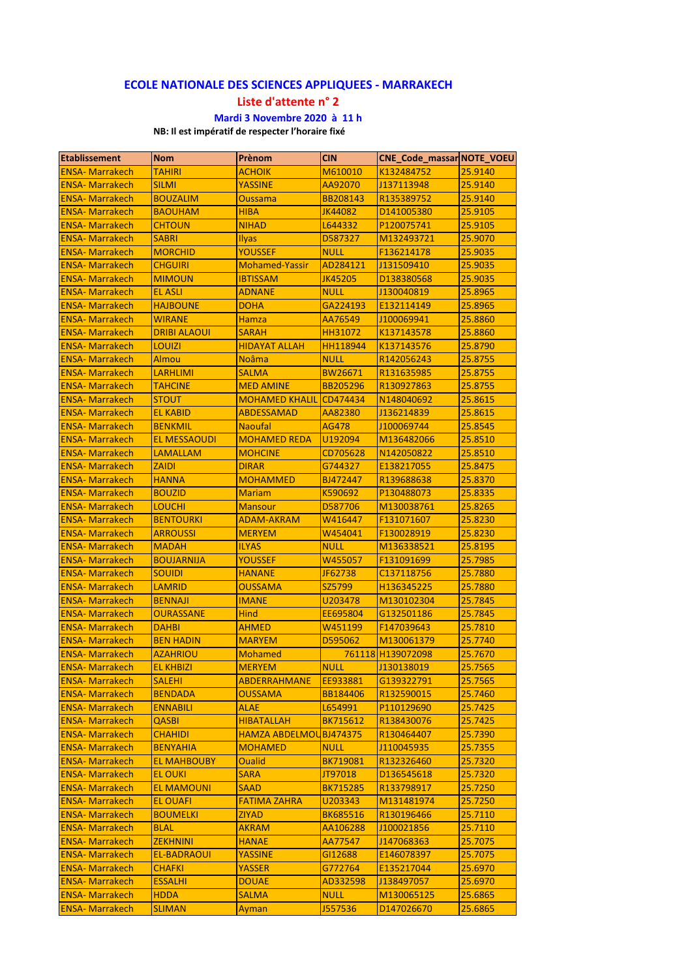## **ECOLE NATIONALE DES SCIENCES APPLIQUEES ‐ MARRAKECH**

**Liste d'attente n° 2**

## **Mardi 3 Novembre 2020 à 11 h**

**NB: Il est impératif de respecter l'horaire fixé**

| <b>Etablissement</b>                             | <b>Nom</b>                          | <b>Prènom</b>         | <b>CIN</b>         | <b>CNE Code massar NOTE VOEU</b> |                    |
|--------------------------------------------------|-------------------------------------|-----------------------|--------------------|----------------------------------|--------------------|
| <b>ENSA- Marrakech</b>                           | <b>TAHIRI</b>                       | <b>ACHOIK</b>         | M610010            | K132484752                       | 25.9140            |
| <b>ENSA- Marrakech</b>                           | <b>SILMI</b>                        | <b>YASSINE</b>        | AA92070            | J137113948                       | 25.9140            |
| <b>ENSA- Marrakech</b>                           | <b>BOUZALIM</b>                     | <b>Oussama</b>        | <b>BB208143</b>    | R135389752                       | 25.9140            |
| <b>ENSA- Marrakech</b>                           | <b>BAOUHAM</b>                      | <b>HIBA</b>           | JK44082            | D141005380                       | 25.9105            |
| <b>ENSA- Marrakech</b>                           | <b>CHTOUN</b>                       | <b>NIHAD</b>          | L644332            | P120075741                       | 25.9105            |
| <b>ENSA- Marrakech</b>                           | <b>SABRI</b>                        | <b>Ilyas</b>          | D587327            | M132493721                       | 25.9070            |
| <b>ENSA- Marrakech</b>                           | <b>MORCHID</b>                      | <b>YOUSSEF</b>        | <b>NULL</b>        | F136214178                       | 25.9035            |
| <b>ENSA- Marrakech</b>                           | <b>CHGUIRI</b>                      | <b>Mohamed-Yassir</b> | AD284121           | J131509410                       | 25.9035            |
| <b>ENSA-Marrakech</b>                            | <b>MIMOUN</b>                       | <b>IBTISSAM</b>       | JK45205            | D138380568                       | 25.9035            |
| <b>ENSA- Marrakech</b>                           | <b>EL ASLI</b>                      | ADNANE                | <b>NULL</b>        | J130040819                       | 25.8965            |
| <b>ENSA- Marrakech</b>                           | <b>HAJBOUNE</b>                     | <b>DOHA</b>           | GA224193           | E132114149                       | 25.8965            |
| <b>ENSA- Marrakech</b>                           | <b>WIRANE</b>                       | <b>Hamza</b>          | AA76549            | J100069941                       | 25.8860            |
| <b>ENSA-Marrakech</b>                            | <b>DRIBI ALAOUI</b>                 | <b>SARAH</b>          | HH31072            | K137143578                       | 25.8860            |
| <b>ENSA- Marrakech</b>                           | <b>LOUIZI</b>                       | <b>HIDAYAT ALLAH</b>  | <b>HH118944</b>    | K137143576                       | 25.8790            |
| <b>ENSA- Marrakech</b>                           | Almou                               | <b>Noâma</b>          | <b>NULL</b>        | R142056243                       | 25.8755            |
| <b>ENSA- Marrakech</b>                           | <b>LARHLIMI</b>                     | <b>SALMA</b>          | <b>BW26671</b>     | R131635985                       | 25.8755            |
| <b>ENSA- Marrakech</b>                           | <b>TAHCINE</b>                      | <b>MED AMINE</b>      | <b>BB205296</b>    | R130927863                       | 25.8755            |
| <b>ENSA- Marrakech</b>                           | <b>STOUT</b>                        | <b>MOHAMED KHALIL</b> | CD474434           | N148040692                       | 25.8615            |
| <b>ENSA- Marrakech</b>                           | <b>EL KABID</b>                     | <b>ABDESSAMAD</b>     | AA82380            | J136214839                       | 25.8615            |
| <b>ENSA- Marrakech</b>                           | <b>BENKMIL</b>                      | <b>Naoufal</b>        | <b>AG478</b>       | J100069744                       | 25.8545            |
| <b>ENSA- Marrakech</b>                           | <b>EL MESSAOUDI</b>                 | <b>MOHAMED REDA</b>   | U192094            | M136482066                       | 25.8510            |
| <b>ENSA-Marrakech</b>                            | <b>LAMALLAM</b>                     | <b>MOHCINE</b>        | CD705628           | N142050822                       | 25.8510            |
| <b>ENSA- Marrakech</b>                           | <b>ZAIDI</b>                        | <b>DIRAR</b>          | G744327            | E138217055                       | 25.8475            |
| <b>ENSA- Marrakech</b>                           | <b>HANNA</b>                        | MOHAMMED              | BJ472447           | R139688638                       | 25.8370            |
| <b>ENSA- Marrakech</b>                           | <b>BOUZID</b>                       | <b>Mariam</b>         | K590692            | P130488073                       | 25.8335            |
| <b>ENSA-Marrakech</b>                            | <b>LOUCHI</b>                       | <b>Mansour</b>        | D587706            | M130038761                       | 25.8265            |
|                                                  |                                     |                       |                    |                                  |                    |
| <b>ENSA- Marrakech</b><br><b>ENSA- Marrakech</b> | <b>BENTOURKI</b><br><b>ARROUSSI</b> | <b>ADAM-AKRAM</b>     | W416447<br>W454041 | F131071607<br>F130028919         | 25.8230<br>25.8230 |
|                                                  |                                     | <b>MERYEM</b>         |                    |                                  |                    |
| <b>ENSA- Marrakech</b>                           | <b>MADAH</b>                        | <b>ILYAS</b>          | <b>NULL</b>        | M136338521                       | 25.8195            |
| <b>ENSA- Marrakech</b>                           | <b>BOUJARNIJA</b>                   | <b>YOUSSEF</b>        | W455057            | F131091699                       | 25.7985            |
| <b>ENSA- Marrakech</b>                           | <b>SOUIDI</b>                       | <b>HANANE</b>         | JF62738            | C137118756                       | 25.7880            |
| <b>ENSA- Marrakech</b>                           | <b>LAMRID</b>                       | <b>OUSSAMA</b>        | SZ5799             | H136345225                       | 25.7880            |
| <b>ENSA- Marrakech</b>                           | <b>BENNAJI</b>                      | <b>IMANE</b>          | U203478            | M130102304                       | 25.7845            |
| <b>ENSA- Marrakech</b>                           | <b>OURASSANE</b>                    | <b>Hind</b>           | EE695804           | G132501186                       | 25.7845            |
| <b>ENSA- Marrakech</b>                           | <b>DAHBI</b>                        | <b>AHMED</b>          | W451199            | F147039643                       | 25.7810            |
| <b>ENSA- Marrakech</b>                           | <b>BEN HADIN</b>                    | <b>MARYEM</b>         | D595062            | M130061379                       | 25.7740            |
| <b>ENSA- Marrakech</b>                           | <b>AZAHRIOU</b>                     | <b>Mohamed</b>        |                    | 761118 H139072098                | 25.7670            |
| <b>ENSA- Marrakech</b>                           | <b>EL KHBIZI</b>                    | <b>MERYEM</b>         | <b>NULL</b>        | J130138019                       | 25.7565            |
| <b>ENSA- Marrakech</b>                           | <b>SALEHI</b>                       | <b>ABDERRAHMANE</b>   | EE933881           | G139322791                       | 25.7565            |
| <b>ENSA-Marrakech</b>                            | <b>BENDADA</b>                      | <b>OUSSAMA</b>        | <b>BB184406</b>    | R132590015                       | 25.7460            |
| <b>ENSA-Marrakech</b>                            | <b>ENNABILI</b>                     | <b>ALAE</b>           | L654991            | P110129690                       | 25.7425            |
| <b>ENSA-Marrakech</b>                            | <b>QASBI</b>                        | <b>HIBATALLAH</b>     | <b>BK715612</b>    | R138430076                       | 25.7425            |
| <b>ENSA-Marrakech</b>                            | <b>CHAHIDI</b>                      | <b>HAMZA ABDELMOL</b> | <b>BJ474375</b>    | R130464407                       | 25.7390            |
| <b>ENSA-Marrakech</b>                            | <b>BENYAHIA</b>                     | <b>MOHAMED</b>        | <b>NULL</b>        | J110045935                       | 25.7355            |
| <b>ENSA-Marrakech</b>                            | <b>EL MAHBOUBY</b>                  | <b>Oualid</b>         | <b>BK719081</b>    | R132326460                       | 25.7320            |
| <b>ENSA-Marrakech</b>                            | <b>EL OUKI</b>                      | <b>SARA</b>           | JT97018            | D136545618                       | 25.7320            |
| <b>ENSA-Marrakech</b>                            | <b>EL MAMOUNI</b>                   | <b>SAAD</b>           | <b>BK715285</b>    | R133798917                       | 25.7250            |
| <b>ENSA-Marrakech</b>                            | <b>EL OUAFI</b>                     | <b>FATIMA ZAHRA</b>   | U203343            | M131481974                       | 25.7250            |
| <b>ENSA-Marrakech</b>                            | <b>BOUMELKI</b>                     | ZIYAD                 | <b>BK685516</b>    | R130196466                       | 25.7110            |
| <b>ENSA-Marrakech</b>                            | <b>BLAL</b>                         | AKRAM                 | AA106288           | J100021856                       | 25.7110            |
| <b>ENSA- Marrakech</b>                           | <b>ZEKHNINI</b>                     | <b>HANAE</b>          | AA77547            | J147068363                       | 25.7075            |
| <b>ENSA- Marrakech</b>                           | <b>EL-BADRAOUI</b>                  | <b>YASSINE</b>        | GI12688            | E146078397                       | 25.7075            |
| <b>ENSA-Marrakech</b>                            | <b>CHAFKI</b>                       | YASSER                | G772764            | E135217044                       | 25.6970            |
| <b>ENSA-Marrakech</b>                            | <b>ESSALHI</b>                      | <b>DOUAE</b>          | AD332598           | J138497057                       | 25.6970            |
| <b>ENSA-Marrakech</b>                            | <b>HDDA</b>                         | <b>SALMA</b>          | <b>NULL</b>        | M130065125                       | 25.6865            |
| <b>ENSA-Marrakech</b>                            | <b>SLIMAN</b>                       | Ayman                 | J557536            | D147026670                       | 25.6865            |